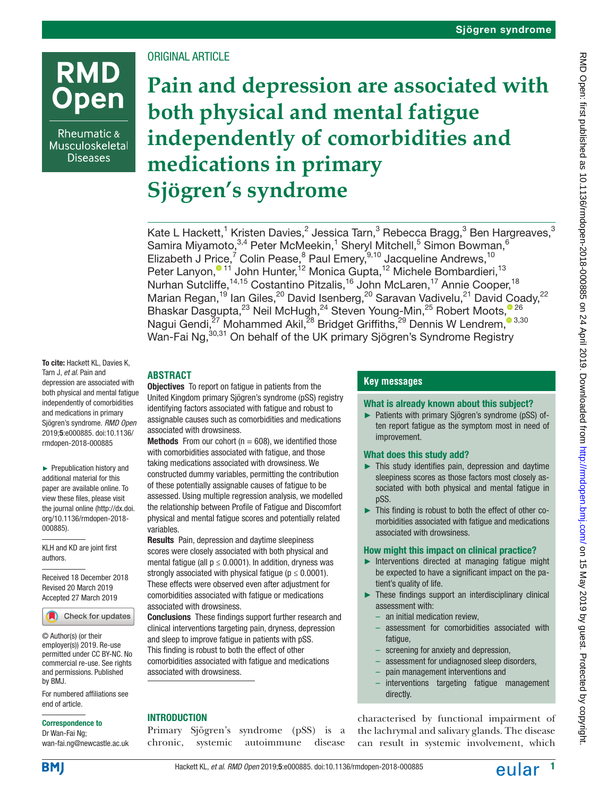# **RMD** pen

Rheumatic & Musculoskeletal **Diseases** 

# ORIGINAL ARTICLE

**Pain and depression are associated with both physical and mental fatigue independently of comorbidities and medications in primary Sjögren's syndrome**

Kate L Hackett, $^1$  Kristen Davies, $^2$  Jessica Tarn, $^3$  Rebecca Bragg, $^3$  Ben Hargreaves, $^3$ Samira Miyamoto,  $3,4$  Peter McMeekin,  $1$  Sheryl Mitchell,  $5$  Simon Bowman,  $6$ Elizabeth J Price,<sup>7</sup> Colin Pease,<sup>8</sup> Paul Emery,<sup>9,10</sup> Jacqueline Andrews,<sup>10</sup> Peter Lanyon[,](https://orcid.org/0000-0002-9855-6802)<sup>® 11</sup> John Hunter,<sup>12</sup> Monica Gupta,<sup>12</sup> Michele Bombardieri,<sup>13</sup> Nurhan Sutcliffe,<sup>14,15</sup> Costantino Pitzalis,<sup>16</sup> John McLaren,<sup>17</sup> Annie Cooper,<sup>18</sup> Marian Regan,<sup>19</sup> Ian Giles,<sup>20</sup> David Isenberg,<sup>20</sup> Saravan Vadivelu,<sup>21</sup> David Coady,<sup>22</sup> Bhaskar Dasgupta[,](http://orcid.org/0000-0001-7019-6211)<sup>23</sup> Neil McHugh,<sup>24</sup> Steven Young-Min,<sup>25</sup> Robert Moots,<sup>026</sup> Nagui Gendi[,](http://orcid.org/0000-0001-6268-5509)<sup>27</sup> Mohammed Akil,<sup>28</sup> Bridget Griffiths,<sup>29</sup> Dennis W Lendrem,<sup>3,30</sup> Wan-Fai Ng, <sup>30,31</sup> On behalf of the UK primary Sjögren's Syndrome Registry

#### To cite: Hackett KL, Davies K, Tarn J, *et al*. Pain and depression are associated with both physical and mental fatigue independently of comorbidities and medications in primary Sjögren's syndrome. *RMD Open* 2019;5:e000885. doi:10.1136/ rmdopen-2018-000885

► Prepublication history and additional material for this paper are available online. To view these files, please visit the journal online ([http://dx.doi.](http://dx.doi.org/10.1136/rmdopen-2018-000885) [org/10.1136/rmdopen-2018-](http://dx.doi.org/10.1136/rmdopen-2018-000885) [000885](http://dx.doi.org/10.1136/rmdopen-2018-000885)).

KLH and KD are joint first authors.

Received 18 December 2018 Revised 20 March 2019 Accepted 27 March 2019



© Author(s) (or their employer(s)) 2019. Re-use permitted under CC BY-NC. No commercial re-use. See rights and permissions. Published by BMJ.

For numbered affiliations see end of article.

#### Correspondence to

Dr Wan-Fai Ng; wan-fai.ng@newcastle.ac.uk

# **Abstract**

**Objectives** To report on fatigue in patients from the United Kingdom primary Sjögren's syndrome (pSS) registry identifying factors associated with fatigue and robust to assignable causes such as comorbidities and medications associated with drowsiness.

**Methods** From our cohort ( $n = 608$ ), we identified those with comorbidities associated with fatigue, and those taking medications associated with drowsiness. We constructed dummy variables, permitting the contribution of these potentially assignable causes of fatigue to be assessed. Using multiple regression analysis, we modelled the relationship between Profile of Fatigue and Discomfort physical and mental fatigue scores and potentially related variables.

Results Pain, depression and daytime sleepiness scores were closely associated with both physical and mental fatigue (all  $p \leq 0.0001$ ). In addition, dryness was strongly associated with physical fatigue ( $p \le 0.0001$ ). These effects were observed even after adjustment for comorbidities associated with fatigue or medications associated with drowsiness.

Conclusions These findings support further research and clinical interventions targeting pain, dryness, depression and sleep to improve fatigue in patients with pSS. This finding is robust to both the effect of other comorbidities associated with fatigue and medications associated with drowsiness.

# **INTRODUCTION**

Primary Sjögren's syndrome (pSS) is a chronic, systemic autoimmune disease

# **Key messages**

## What is already known about this subject?

► Patients with primary Sjögren's syndrome (pSS) often report fatigue as the symptom most in need of improvement.

# What does this study add?

- ► This study identifies pain, depression and daytime sleepiness scores as those factors most closely associated with both physical and mental fatigue in pSS.
- ► This finding is robust to both the effect of other comorbidities associated with fatigue and medications associated with drowsiness.

# How might this impact on clinical practice?

- ► Interventions directed at managing fatigue might be expected to have a significant impact on the patient's quality of life.
- ► These findings support an interdisciplinary clinical assessment with:
	- an initial medication review,
	- assessment for comorbidities associated with fatigue,
	- screening for anxiety and depression,
	- assessment for undiagnosed sleep disorders,
	- pain management interventions and
	- interventions targeting fatigue management directly.

characterised by functional impairment of the lachrymal and salivary glands. The disease can result in systemic involvement, which

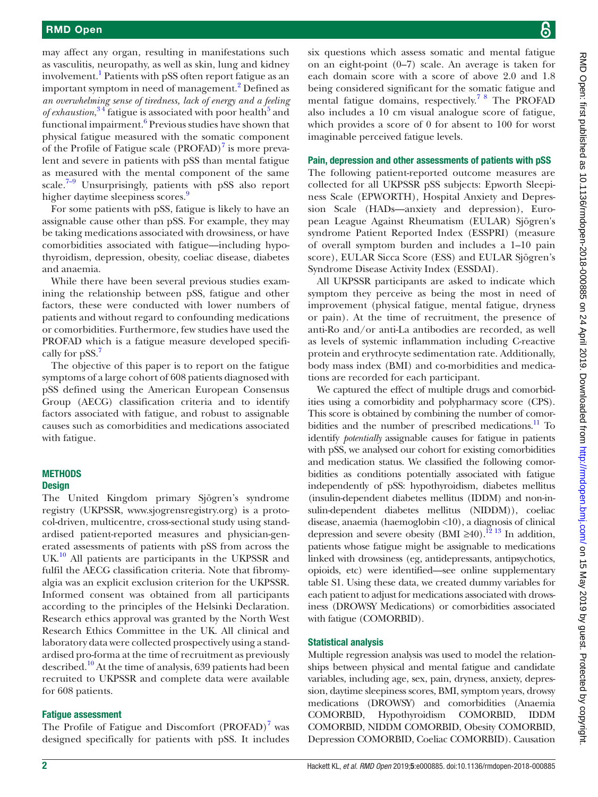may affect any organ, resulting in manifestations such as vasculitis, neuropathy, as well as skin, lung and kidney involvement.<sup>[1](#page-6-0)</sup> Patients with pSS often report fatigue as an important symptom in need of management.<sup>[2](#page-6-1)</sup> Defined as *an overwhelming sense of tiredness, lack of energy and a feeling*  of exhaustion,<sup>34</sup> fatigue is associated with poor health<sup>5</sup> and functional impairment.<sup>6</sup> Previous studies have shown that physical fatigue measured with the somatic component of the Profile of Fatigue scale (PROFAD)<sup>[7](#page-6-5)</sup> is more prevalent and severe in patients with pSS than mental fatigue as measured with the mental component of the same scale.<sup>7–9</sup> Unsurprisingly, patients with pSS also report higher daytime sleepiness scores.<sup>9</sup>

For some patients with pSS, fatigue is likely to have an assignable cause other than pSS. For example, they may be taking medications associated with drowsiness, or have comorbidities associated with fatigue—including hypothyroidism, depression, obesity, coeliac disease, diabetes and anaemia.

While there have been several previous studies examining the relationship between pSS, fatigue and other factors, these were conducted with lower numbers of patients and without regard to confounding medications or comorbidities. Furthermore, few studies have used the PROFAD which is a fatigue measure developed specifi-cally for pSS.<sup>[7](#page-6-5)</sup>

The objective of this paper is to report on the fatigue symptoms of a large cohort of 608 patients diagnosed with pSS defined using the American European Consensus Group (AECG) classification criteria and to identify factors associated with fatigue, and robust to assignable causes such as comorbidities and medications associated with fatigue.

# **METHODS**

## **Design**

The United Kingdom primary Sjögren's syndrome registry (UKPSSR, [www.sjogrensregistry.org\)](www.sjogrensregistry.org) is a protocol-driven, multicentre, cross-sectional study using standardised patient-reported measures and physician-generated assessments of patients with pSS from across the UK.<sup>10</sup> All patients are participants in the UKPSSR and fulfil the AECG classification criteria. Note that fibromyalgia was an explicit exclusion criterion for the UKPSSR. Informed consent was obtained from all participants according to the principles of the Helsinki Declaration. Research ethics approval was granted by the North West Research Ethics Committee in the UK. All clinical and laboratory data were collected prospectively using a standardised pro-forma at the time of recruitment as previously described.<sup>10</sup> At the time of analysis, 639 patients had been recruited to UKPSSR and complete data were available for 608 patients.

# Fatigue assessment

The Profile of Fatigue and Discomfort  $(PROFAD)^7$  was designed specifically for patients with pSS. It includes

six questions which assess somatic and mental fatigue on an eight-point (0–7) scale. An average is taken for each domain score with a score of above 2.0 and 1.8 being considered significant for the somatic fatigue and mental fatigue domains, respectively.[7 8](#page-6-5) The PROFAD also includes a 10 cm visual analogue score of fatigue, which provides a score of 0 for absent to 100 for worst imaginable perceived fatigue levels.

#### Pain, depression and other assessments of patients with pSS

The following patient-reported outcome measures are collected for all UKPSSR pSS subjects: Epworth Sleepiness Scale (EPWORTH), Hospital Anxiety and Depression Scale (HADs—anxiety and depression), European League Against Rheumatism (EULAR) Sjögren's syndrome Patient Reported Index (ESSPRI) (measure of overall symptom burden and includes a 1–10 pain score), EULAR Sicca Score (ESS) and EULAR Sjögren's Syndrome Disease Activity Index (ESSDAI).

All UKPSSR participants are asked to indicate which symptom they perceive as being the most in need of improvement (physical fatigue, mental fatigue, dryness or pain). At the time of recruitment, the presence of anti-Ro and/or anti-La antibodies are recorded, as well as levels of systemic inflammation including C-reactive protein and erythrocyte sedimentation rate. Additionally, body mass index (BMI) and co-morbidities and medications are recorded for each participant.

We captured the effect of multiple drugs and comorbidities using a comorbidity and polypharmacy score (CPS). This score is obtained by combining the number of comorbidities and the number of prescribed medications. $\frac{11}{10}$  To identify *potentially* assignable causes for fatigue in patients with pSS, we analysed our cohort for existing comorbidities and medication status. We classified the following comorbidities as conditions potentially associated with fatigue independently of pSS: hypothyroidism, diabetes mellitus (insulin-dependent diabetes mellitus (IDDM) and non-insulin-dependent diabetes mellitus (NIDDM)), coeliac disease, anaemia (haemoglobin <10), a diagnosis of clinical depression and severe obesity (BMI ≥40).<sup>12</sup> <sup>13</sup> In addition, patients whose fatigue might be assignable to medications linked with drowsiness (eg, antidepressants, antipsychotics, opioids, etc) were identified—see [online supplementary](https://dx.doi.org/10.1136/rmdopen-2018-000885) [table S1](https://dx.doi.org/10.1136/rmdopen-2018-000885). Using these data, we created dummy variables for each patient to adjust for medications associated with drowsiness (DROWSY Medications) or comorbidities associated with fatigue (COMORBID).

#### Statistical analysis

Multiple regression analysis was used to model the relationships between physical and mental fatigue and candidate variables, including age, sex, pain, dryness, anxiety, depression, daytime sleepiness scores, BMI, symptom years, drowsy medications (DROWSY) and comorbidities (Anaemia COMORBID, Hypothyroidism COMORBID, IDDM COMORBID, NIDDM COMORBID, Obesity COMORBID, Depression COMORBID, Coeliac COMORBID). Causation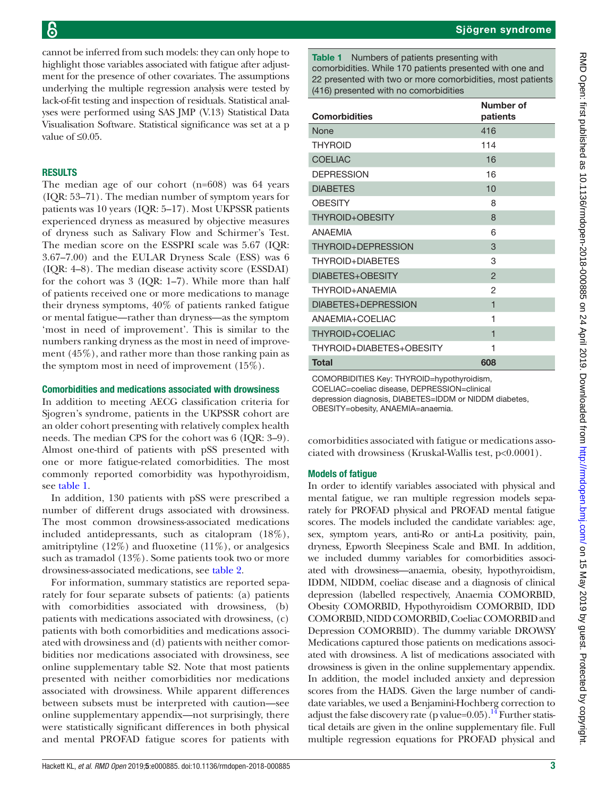cannot be inferred from such models: they can only hope to highlight those variables associated with fatigue after adjustment for the presence of other covariates. The assumptions underlying the multiple regression analysis were tested by lack-of-fit testing and inspection of residuals. Statistical analyses were performed using SAS JMP (V.13) Statistical Data Visualisation Software. Statistical significance was set at a p value of  $\leq 0.05$ .

# **RESULTS**

The median age of our cohort (n=608) was 64 years (IQR: 53–71). The median number of symptom years for patients was 10 years (IQR: 5–17). Most UKPSSR patients experienced dryness as measured by objective measures of dryness such as Salivary Flow and Schirmer's Test. The median score on the ESSPRI scale was 5.67 (IQR: 3.67–7.00) and the EULAR Dryness Scale (ESS) was 6 (IQR: 4–8). The median disease activity score (ESSDAI) for the cohort was 3 (IQR: 1–7). While more than half of patients received one or more medications to manage their dryness symptoms, 40% of patients ranked fatigue or mental fatigue—rather than dryness—as the symptom 'most in need of improvement'. This is similar to the numbers ranking dryness as the most in need of improvement (45%), and rather more than those ranking pain as the symptom most in need of improvement (15%).

## Comorbidities and medications associated with drowsiness

In addition to meeting AECG classification criteria for Sjogren's syndrome, patients in the UKPSSR cohort are an older cohort presenting with relatively complex health needs. The median CPS for the cohort was 6 (IQR: 3–9). Almost one-third of patients with pSS presented with one or more fatigue-related comorbidities. The most commonly reported comorbidity was hypothyroidism, see [table](#page-2-0) 1.

In addition, 130 patients with pSS were prescribed a number of different drugs associated with drowsiness. The most common drowsiness-associated medications included antidepressants, such as citalopram (18%), amitriptyline  $(12\%)$  and fluoxetine  $(11\%)$ , or analgesics such as tramadol (13%). Some patients took two or more drowsiness-associated medications, see [table](#page-3-0) 2.

For information, summary statistics are reported separately for four separate subsets of patients: (a) patients with comorbidities associated with drowsiness, (b) patients with medications associated with drowsiness, (c) patients with both comorbidities and medications associated with drowsiness and (d) patients with neither comorbidities nor medications associated with drowsiness, see [online supplementary table S2.](https://dx.doi.org/10.1136/rmdopen-2018-000885) Note that most patients presented with neither comorbidities nor medications associated with drowsiness. While apparent differences between subsets must be interpreted with caution—see [online supplementary appendix](https://dx.doi.org/10.1136/rmdopen-2018-000885)—not surprisingly, there were statistically significant differences in both physical and mental PROFAD fatigue scores for patients with

<span id="page-2-0"></span>Table 1 Numbers of patients presenting with comorbidities. While 170 patients presented with one and 22 presented with two or more comorbidities, most patients (416) presented with no comorbidities

| <b>Comorbidities</b>     | Number of<br>patients   |  |
|--------------------------|-------------------------|--|
| None                     | 416                     |  |
| <b>THYROID</b>           | 114                     |  |
| <b>COELIAC</b>           | 16                      |  |
| <b>DEPRESSION</b>        | 16                      |  |
| <b>DIABETES</b>          | 10                      |  |
| <b>OBESITY</b>           | 8                       |  |
| THYROID+OBESITY          | 8                       |  |
| <b>ANAFMIA</b>           | 6                       |  |
| THYROID+DEPRESSION       | 3                       |  |
| THYROID+DIABFTFS         | 3                       |  |
| DIABETES+OBESITY         | $\overline{2}$          |  |
| THYROID+ANAFMIA          | 2                       |  |
| DIABETES+DEPRESSION      | $\mathbf 1$             |  |
| ANAFMIA+COFI IAC         | 1                       |  |
| THYROID+COELIAC          | $\overline{\mathbf{1}}$ |  |
| THYROID+DIABETES+OBESITY | 1                       |  |
| <b>Total</b>             | 608                     |  |
|                          |                         |  |

COMORBIDITIES Key: THYROID=hypothyroidism, COELIAC=coeliac disease, DEPRESSION=clinical depression diagnosis, DIABETES=IDDM or NIDDM diabetes, OBESITY=obesity, ANAEMIA=anaemia.

comorbidities associated with fatigue or medications associated with drowsiness (Kruskal-Wallis test, p<0.0001).

# Models of fatigue

In order to identify variables associated with physical and mental fatigue, we ran multiple regression models separately for PROFAD physical and PROFAD mental fatigue scores. The models included the candidate variables: age, sex, symptom years, anti-Ro or anti-La positivity, pain, dryness, Epworth Sleepiness Scale and BMI. In addition, we included dummy variables for comorbidities associated with drowsiness—anaemia, obesity, hypothyroidism, IDDM, NIDDM, coeliac disease and a diagnosis of clinical depression (labelled respectively, Anaemia COMORBID, Obesity COMORBID, Hypothyroidism COMORBID, IDD COMORBID, NIDD COMORBID, Coeliac COMORBID and Depression COMORBID). The dummy variable DROWSY Medications captured those patients on medications associated with drowsiness. A list of medications associated with drowsiness is given in the [online supplementary appendix.](https://dx.doi.org/10.1136/rmdopen-2018-000885) In addition, the model included anxiety and depression scores from the HADS. Given the large number of candidate variables, we used a Benjamini-Hochberg correction to adjust the false discovery rate (p value= $0.05$ ).<sup>[14](#page-6-10)</sup> Further statistical details are given in the [online supplementary file.](https://dx.doi.org/10.1136/rmdopen-2018-000885) Full multiple regression equations for PROFAD physical and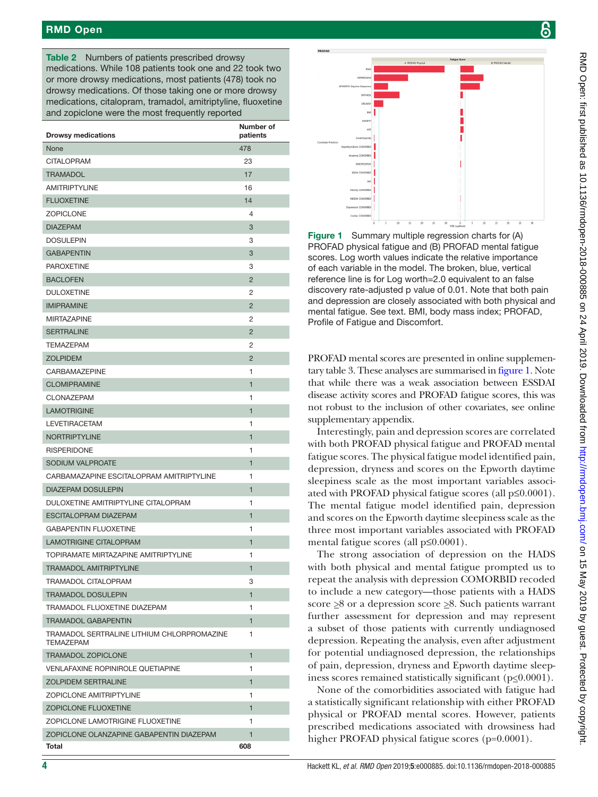# RMD Open

<span id="page-3-0"></span>Table 2 Numbers of patients prescribed drowsy medications. While 108 patients took one and 22 took two or more drowsy medications, most patients (478) took no drowsy medications. Of those taking one or more drowsy medications, citalopram, tramadol, amitriptyline, fluoxetine and zopiclone were the most frequently reported

| <b>Drowsy medications</b>                                      | Number of<br>patients |
|----------------------------------------------------------------|-----------------------|
| None                                                           | 478                   |
| <b>CITALOPRAM</b>                                              | 23                    |
| <b>TRAMADOL</b>                                                | 17                    |
| <b>AMITRIPTYLINE</b>                                           | 16                    |
| <b>FLUOXETINE</b>                                              | 14                    |
| <b>ZOPICLONE</b>                                               | 4                     |
| <b>DIAZEPAM</b>                                                | 3                     |
| <b>DOSULEPIN</b>                                               | 3                     |
| <b>GABAPENTIN</b>                                              | 3                     |
| <b>PAROXETINE</b>                                              | 3                     |
| <b>BACLOFEN</b>                                                | $\overline{2}$        |
| <b>DULOXETINE</b>                                              | 2                     |
| <b>IMIPRAMINE</b>                                              | $\overline{2}$        |
| <b>MIRTAZAPINE</b>                                             | $\overline{2}$        |
| <b>SERTRALINE</b>                                              | $\overline{2}$        |
| <b>TEMAZEPAM</b>                                               | 2                     |
| <b>ZOLPIDEM</b>                                                | $\overline{2}$        |
| <b>CARBAMAZEPINE</b>                                           | 1                     |
| <b>CLOMIPRAMINE</b>                                            | $\mathbf{1}$          |
| CLONAZEPAM                                                     | 1                     |
| <b>LAMOTRIGINE</b>                                             | $\mathbf{1}$          |
| <b>LEVETIRACETAM</b>                                           | 1                     |
| <b>NORTRIPTYLINE</b>                                           | 1                     |
| <b>RISPERIDONE</b>                                             | 1                     |
| SODIUM VALPROATE                                               | $\mathbf{1}$          |
| CARBAMAZAPINE ESCITALOPRAM AMITRIPTYLINE                       | 1                     |
| <b>DIAZEPAM DOSULEPIN</b>                                      | $\mathbf{1}$          |
| DULOXETINE AMITRIPTYLINE CITALOPRAM                            | 1                     |
| <b>ESCITALOPRAM DIAZEPAM</b>                                   | $\mathbf{1}$          |
| <b>GABAPENTIN FLUOXETINE</b>                                   | 1                     |
| <b>LAMOTRIGINE CITALOPRAM</b>                                  | 1                     |
| TOPIRAMATE MIRTAZAPINE AMITRIPTYLINE                           | 1                     |
| TRAMADOL AMITRIPTYLINE                                         | 1                     |
| <b>TRAMADOL CITALOPRAM</b>                                     | 3                     |
| <b>TRAMADOL DOSULEPIN</b>                                      | $\mathbf{1}$          |
| TRAMADOL FLUOXETINE DIAZEPAM                                   | 1                     |
| <b>TRAMADOL GABAPENTIN</b>                                     | $\mathbf{1}$          |
| TRAMADOL SERTRALINE LITHIUM CHLORPROMAZINE<br><b>TEMAZEPAM</b> | 1                     |
| <b>TRAMADOL ZOPICLONE</b>                                      | $\mathbf{1}$          |
| <b>VENLAFAXINE ROPINIROLE QUETIAPINE</b>                       | 1                     |
| <b>ZOLPIDEM SERTRALINE</b>                                     | 1                     |
| <b>ZOPICLONE AMITRIPTYLINE</b>                                 | 1                     |
| ZOPICLONE FLUOXETINE                                           | $\mathbf{1}$          |
| ZOPICLONE LAMOTRIGINE FLUOXETINE                               | 1                     |
| ZOPICLONE OLANZAPINE GABAPENTIN DIAZEPAM                       | 1                     |
| Total                                                          | 608                   |



<span id="page-3-1"></span>Figure 1 Summary multiple regression charts for (A) PROFAD physical fatigue and (B) PROFAD mental fatigue scores. Log worth values indicate the relative importance of each variable in the model. The broken, blue, vertical reference line is for Log worth=2.0 equivalent to an false discovery rate-adjusted p value of 0.01. Note that both pain and depression are closely associated with both physical and mental fatigue. See text. BMI, body mass index; PROFAD, Profile of Fatigue and Discomfort.

PROFAD mental scores are presented in [online supplemen](https://dx.doi.org/10.1136/rmdopen-2018-000885)[tary table 3.](https://dx.doi.org/10.1136/rmdopen-2018-000885) These analyses are summarised in [figure](#page-3-1) 1. Note that while there was a weak association between ESSDAI disease activity scores and PROFAD fatigue scores, this was not robust to the inclusion of other covariates, see [online](https://dx.doi.org/10.1136/rmdopen-2018-000885) [supplementary appendix.](https://dx.doi.org/10.1136/rmdopen-2018-000885)

Interestingly, pain and depression scores are correlated with both PROFAD physical fatigue and PROFAD mental fatigue scores. The physical fatigue model identified pain, depression, dryness and scores on the Epworth daytime sleepiness scale as the most important variables associated with PROFAD physical fatigue scores (all p≤0.0001). The mental fatigue model identified pain, depression and scores on the Epworth daytime sleepiness scale as the three most important variables associated with PROFAD mental fatigue scores (all p≤0.0001).

The strong association of depression on the HADS with both physical and mental fatigue prompted us to repeat the analysis with depression COMORBID recoded to include a new category—those patients with a HADS score  $\geq$ 8 or a depression score  $\geq$ 8. Such patients warrant further assessment for depression and may represent a subset of those patients with currently undiagnosed depression. Repeating the analysis, even after adjustment for potential undiagnosed depression, the relationships of pain, depression, dryness and Epworth daytime sleepiness scores remained statistically significant ( $p \le 0.0001$ ).

None of the comorbidities associated with fatigue had a statistically significant relationship with either PROFAD physical or PROFAD mental scores. However, patients prescribed medications associated with drowsiness had higher PROFAD physical fatigue scores (p=0.0001).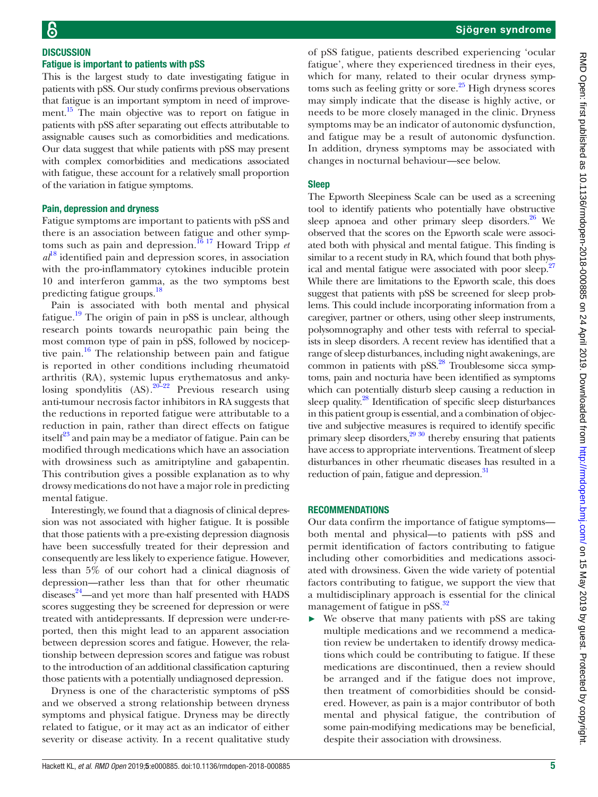## **DISCUSSION** Fatigue is important to patients with pSS

This is the largest study to date investigating fatigue in patients with pSS. Our study confirms previous observations that fatigue is an important symptom in need of improvement.<sup>15</sup> The main objective was to report on fatigue in patients with pSS after separating out effects attributable to assignable causes such as comorbidities and medications. Our data suggest that while patients with pSS may present with complex comorbidities and medications associated with fatigue, these account for a relatively small proportion of the variation in fatigue symptoms.

#### Pain, depression and dryness

Fatigue symptoms are important to patients with pSS and there is an association between fatigue and other symptoms such as pain and depression.[16 17](#page-6-12) Howard Tripp *et*   $a^{18}$  $a^{18}$  $a^{18}$  identified pain and depression scores, in association with the pro-inflammatory cytokines inducible protein 10 and interferon gamma, as the two symptoms best predicting fatigue groups.[18](#page-6-13)

Pain is associated with both mental and physical fatigue.<sup>[19](#page-6-14)</sup> The origin of pain in pSS is unclear, although research points towards neuropathic pain being the most common type of pain in pSS, followed by nociceptive pain.<sup>16</sup> The relationship between pain and fatigue is reported in other conditions including rheumatoid arthritis (RA), systemic lupus erythematosus and ankylosing spondylitis  $(AS)$ .<sup>20–22</sup> Previous research using anti-tumour necrosis factor inhibitors in RA suggests that the reductions in reported fatigue were attributable to a reduction in pain, rather than direct effects on fatigue itself $^{23}$  $^{23}$  $^{23}$  and pain may be a mediator of fatigue. Pain can be modified through medications which have an association with drowsiness such as amitriptyline and gabapentin. This contribution gives a possible explanation as to why drowsy medications do not have a major role in predicting mental fatigue.

Interestingly, we found that a diagnosis of clinical depression was not associated with higher fatigue. It is possible that those patients with a pre-existing depression diagnosis have been successfully treated for their depression and consequently are less likely to experience fatigue. However, less than 5% of our cohort had a clinical diagnosis of depression—rather less than that for other rheumatic diseases<sup>24</sup>—and yet more than half presented with HADS scores suggesting they be screened for depression or were treated with antidepressants. If depression were under-reported, then this might lead to an apparent association between depression scores and fatigue. However, the relationship between depression scores and fatigue was robust to the introduction of an additional classification capturing those patients with a potentially undiagnosed depression.

Dryness is one of the characteristic symptoms of pSS and we observed a strong relationship between dryness symptoms and physical fatigue. Dryness may be directly related to fatigue, or it may act as an indicator of either severity or disease activity. In a recent qualitative study

of pSS fatigue, patients described experiencing 'ocular fatigue', where they experienced tiredness in their eyes, which for many, related to their ocular dryness symptoms such as feeling gritty or sore.<sup>25</sup> High dryness scores may simply indicate that the disease is highly active, or needs to be more closely managed in the clinic. Dryness symptoms may be an indicator of autonomic dysfunction, and fatigue may be a result of autonomic dysfunction. In addition, dryness symptoms may be associated with changes in nocturnal behaviour—see below.

#### Sleep

The Epworth Sleepiness Scale can be used as a screening tool to identify patients who potentially have obstructive sleep apnoea and other primary sleep disorders. $26$  We observed that the scores on the Epworth scale were associated both with physical and mental fatigue. This finding is similar to a recent study in RA, which found that both phys-ical and mental fatigue were associated with poor sleep.<sup>[27](#page-6-20)</sup> While there are limitations to the Epworth scale, this does suggest that patients with pSS be screened for sleep problems. This could include incorporating information from a caregiver, partner or others, using other sleep instruments, polysomnography and other tests with referral to specialists in sleep disorders. A recent review has identified that a range of sleep disturbances, including night awakenings, are common in patients with  $pSS$ .<sup>28</sup> Troublesome sicca symptoms, pain and nocturia have been identified as symptoms which can potentially disturb sleep causing a reduction in sleep quality.<sup>[28](#page-6-21)</sup> Identification of specific sleep disturbances in this patient group is essential, and a combination of objective and subjective measures is required to identify specific primary sleep disorders, $2930$  thereby ensuring that patients have access to appropriate interventions. Treatment of sleep disturbances in other rheumatic diseases has resulted in a reduction of pain, fatigue and depression.<sup>31</sup>

#### **RECOMMENDATIONS**

Our data confirm the importance of fatigue symptoms both mental and physical—to patients with pSS and permit identification of factors contributing to fatigue including other comorbidities and medications associated with drowsiness. Given the wide variety of potential factors contributing to fatigue, we support the view that a multidisciplinary approach is essential for the clinical management of fatigue in pSS.<sup>[32](#page-6-24)</sup>

We observe that many patients with pSS are taking multiple medications and we recommend a medication review be undertaken to identify drowsy medications which could be contributing to fatigue. If these medications are discontinued, then a review should be arranged and if the fatigue does not improve, then treatment of comorbidities should be considered. However, as pain is a major contributor of both mental and physical fatigue, the contribution of some pain-modifying medications may be beneficial, despite their association with drowsiness.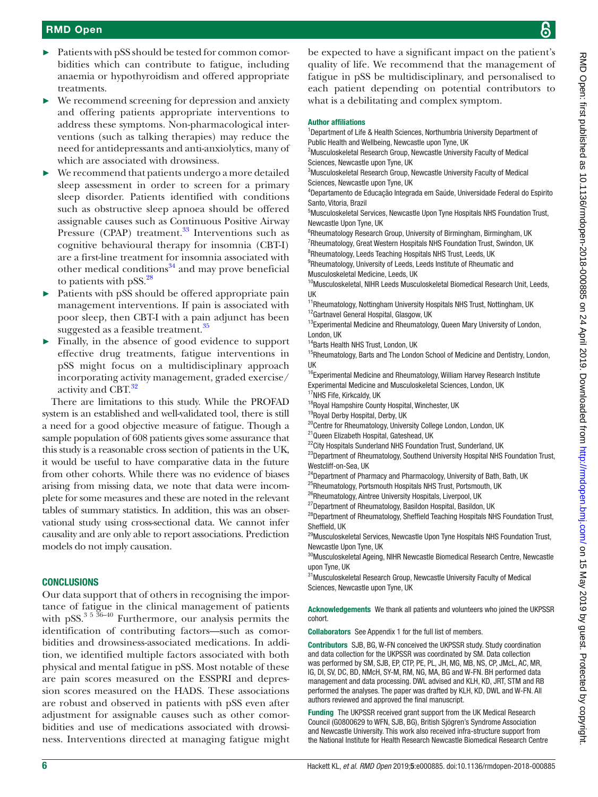- ► Patients with pSS should be tested for common comorbidities which can contribute to fatigue, including anaemia or hypothyroidism and offered appropriate treatments.
- $\triangleright$  We recommend screening for depression and anxiety and offering patients appropriate interventions to address these symptoms. Non-pharmacological interventions (such as talking therapies) may reduce the need for antidepressants and anti-anxiolytics, many of which are associated with drowsiness.
- We recommend that patients undergo a more detailed sleep assessment in order to screen for a primary sleep disorder. Patients identified with conditions such as obstructive sleep apnoea should be offered assignable causes such as Continuous Positive Airway Pressure (CPAP) treatment. $33$  Interventions such as cognitive behavioural therapy for insomnia (CBT-I) are a first-line treatment for insomnia associated with other medical conditions $34$  and may prove beneficial to patients with  $pSS.<sup>28</sup>$  $pSS.<sup>28</sup>$  $pSS.<sup>28</sup>$
- Patients with pSS should be offered appropriate pain management interventions. If pain is associated with poor sleep, then CBT-I with a pain adjunct has been suggested as a feasible treatment.<sup>[35](#page-6-27)</sup>
- Finally, in the absence of good evidence to support effective drug treatments, fatigue interventions in pSS might focus on a multidisciplinary approach incorporating activity management, graded exercise/ activity and CBT.<sup>32</sup>

There are limitations to this study. While the PROFAD system is an established and well-validated tool, there is still a need for a good objective measure of fatigue. Though a sample population of 608 patients gives some assurance that this study is a reasonable cross section of patients in the UK, it would be useful to have comparative data in the future from other cohorts. While there was no evidence of biases arising from missing data, we note that data were incomplete for some measures and these are noted in the relevant tables of summary statistics. In addition, this was an observational study using cross-sectional data. We cannot infer causality and are only able to report associations. Prediction models do not imply causation.

# **CONCLUSIONS**

Our data support that of others in recognising the importance of fatigue in the clinical management of patients with pSS. $^{3}$ <sup>5 36-40</sup> Furthermore, our analysis permits the identification of contributing factors—such as comorbidities and drowsiness-associated medications. In addition, we identified multiple factors associated with both physical and mental fatigue in pSS. Most notable of these are pain scores measured on the ESSPRI and depression scores measured on the HADS. These associations are robust and observed in patients with pSS even after adjustment for assignable causes such as other comorbidities and use of medications associated with drowsiness. Interventions directed at managing fatigue might be expected to have a significant impact on the patient's quality of life. We recommend that the management of fatigue in pSS be multidisciplinary, and personalised to each patient depending on potential contributors to what is a debilitating and complex symptom.

#### Author affiliations

<sup>1</sup>Department of Life & Health Sciences, Northumbria University Department of Public Health and Wellbeing, Newcastle upon Tyne, UK

<sup>2</sup>Musculoskeletal Research Group, Newcastle University Faculty of Medical Sciences, Newcastle upon Tyne, UK

<sup>3</sup>Musculoskeletal Research Group, Newcastle University Faculty of Medical Sciences, Newcastle upon Tyne, UK

4 Departamento de Educação Integrada em Saúde, Universidade Federal do Espirito Santo, Vitoria, Brazil

5 Musculoskeletal Services, Newcastle Upon Tyne Hospitals NHS Foundation Trust, Newcastle Upon Tyne, UK

<sup>6</sup>Rheumatology Research Group, University of Birmingham, Birmingham, UK <sup>7</sup>Rheumatology, Great Western Hospitals NHS Foundation Trust, Swindon, UK <sup>8</sup>Rheumatology, Leeds Teaching Hospitals NHS Trust, Leeds, UK

<sup>9</sup>Rheumatology, University of Leeds, Leeds Institute of Rheumatic and

Musculoskeletal Medicine, Leeds, UK

<sup>10</sup>Musculoskeletal, NIHR Leeds Musculoskeletal Biomedical Research Unit, Leeds, UK

<sup>11</sup>Rheumatology, Nottingham University Hospitals NHS Trust, Nottingham, UK <sup>12</sup>Gartnavel General Hospital, Glasgow, UK

<sup>13</sup> Experimental Medicine and Rheumatology, Queen Mary University of London, London, UK

<sup>14</sup>Barts Health NHS Trust, London, UK

<sup>15</sup>Rheumatology, Barts and The London School of Medicine and Dentistry, London, UK

<sup>16</sup>Experimental Medicine and Rheumatology, William Harvey Research Institute Experimental Medicine and Musculoskeletal Sciences, London, UK

<sup>17</sup>NHS Fife, Kirkcaldy, UK

<sup>18</sup>Royal Hampshire County Hospital, Winchester, UK

19Royal Derby Hospital, Derby, UK

<sup>20</sup>Centre for Rheumatology, University College London, London, UK

21Queen Elizabeth Hospital, Gateshead, UK

<sup>22</sup>City Hospitals Sunderland NHS Foundation Trust, Sunderland, UK <sup>23</sup>Department of Rheumatology, Southend University Hospital NHS Foundation Trust, Westcliff-on-Sea, UK

<sup>24</sup>Department of Pharmacy and Pharmacology, University of Bath, Bath, UK

<sup>25</sup>Rheumatology, Portsmouth Hospitals NHS Trust, Portsmouth, UK

<sup>26</sup>Rheumatology, Aintree University Hospitals, Liverpool, UK

<sup>27</sup>Department of Rheumatology, Basildon Hospital, Basildon, UK

<sup>28</sup>Department of Rheumatology, Sheffield Teaching Hospitals NHS Foundation Trust, Sheffield, UK

<sup>29</sup>Musculoskeletal Services, Newcastle Upon Tyne Hospitals NHS Foundation Trust, Newcastle Upon Tyne, UK

 $^{30}\!$  Musculoskeletal Ageing, NIHR Newcastle Biomedical Research Centre, Newcastle upon Tyne, UK

31 Musculoskeletal Research Group, Newcastle University Faculty of Medical Sciences, Newcastle upon Tyne, UK

Acknowledgements We thank all patients and volunteers who joined the UKPSSR cohort.

Collaborators See [Appendix 1](https://dx.doi.org/10.1136/rmdopen-2018-000885) for the full list of members.

Contributors SJB, BG, W-FN conceived the UKPSSR study. Study coordination and data collection for the UKPSSR was coordinated by SM. Data collection was performed by SM, SJB, EP, CTP, PE, PL, JH, MG, MB, NS, CP, JMcL, AC, MR, IG, DI, SV, DC, BD, NMcH, SY-M, RM, NG, MA, BG and W-FN. BH performed data management and data processing. DWL advised and KLH, KD, JRT, STM and RB performed the analyses. The paper was drafted by KLH, KD, DWL and W-FN. All authors reviewed and approved the final manuscript.

Funding The UKPSSR received grant support from the UK Medical Research Council (G0800629 to WFN, SJB, BG), British Sjögren's Syndrome Association and Newcastle University. This work also received infra-structure support from the National Institute for Health Research Newcastle Biomedical Research Centre